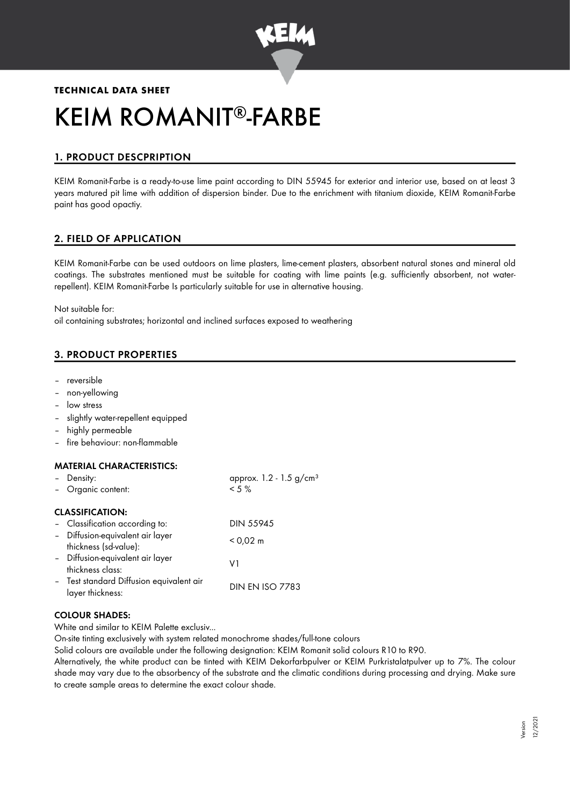

# **TECHNICAL DATA SHEET** KEIM ROMANIT®-FARBE

# 1. PRODUCT DESCPRIPTION

KEIM Romanit-Farbe is a ready-to-use lime paint according to DIN 55945 for exterior and interior use, based on at least 3 years matured pit lime with addition of dispersion binder. Due to the enrichment with titanium dioxide, KEIM Romanit-Farbe paint has good opactiy.

# 2. FIELD OF APPLICATION

KEIM Romanit-Farbe can be used outdoors on lime plasters, lime-cement plasters, absorbent natural stones and mineral old coatings. The substrates mentioned must be suitable for coating with lime paints (e.g. sufficiently absorbent, not waterrepellent). KEIM Romanit-Farbe Is particularly suitable for use in alternative housing.

Not suitable for:

oil containing substrates; horizontal and inclined surfaces exposed to weathering

# 3. PRODUCT PROPERTIES

- reversible
- non-yellowing
- low stress
- slightly water-repellent equipped
- highly permeable
- fire behaviour: non-flammable

#### MATERIAL CHARACTERISTICS:

| Density:                                                     | approx. $1.2 - 1.5$ g/cm <sup>3</sup> |
|--------------------------------------------------------------|---------------------------------------|
| Organic content:                                             | $< 5 \%$                              |
| <b>CLASSIFICATION:</b>                                       |                                       |
| - Classification according to:                               | <b>DIN 55945</b>                      |
| - Diffusion-equivalent air layer<br>thickness (sd-value):    | $< 0.02 \text{ m}$                    |
| - Diffusion-equivalent air layer<br>thickness class:         | V1                                    |
| - Test standard Diffusion equivalent air<br>layer thickness: | <b>DIN EN ISO 7783</b>                |

## COLOUR SHADES:

White and similar to KEIM Palette exclusiv...

On-site tinting exclusively with system related monochrome shades/full-tone colours

Solid colours are available under the following designation: KEIM Romanit solid colours R10 to R90.

Alternatively, the white product can be tinted with KEIM Dekorfarbpulver or KEIM Purkristalatpulver up to 7%. The colour shade may vary due to the absorbency of the substrate and the climatic conditions during processing and drying. Make sure to create sample areas to determine the exact colour shade.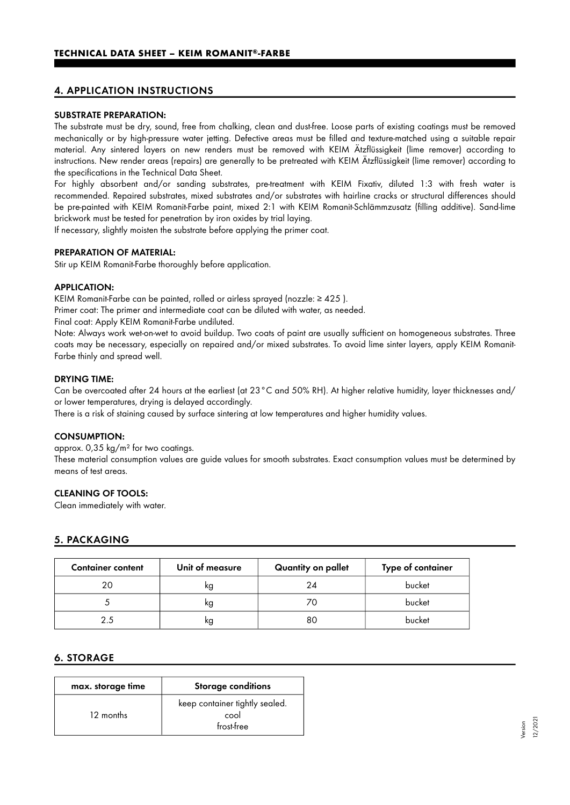# 4. APPLICATION INSTRUCTIONS

#### SUBSTRATE PREPARATION:

The substrate must be dry, sound, free from chalking, clean and dust-free. Loose parts of existing coatings must be removed mechanically or by high-pressure water jetting. Defective areas must be filled and texture-matched using a suitable repair material. Any sintered layers on new renders must be removed with KEIM Ätzflüssigkeit (lime remover) according to instructions. New render areas (repairs) are generally to be pretreated with KEIM Ätzflüssigkeit (lime remover) according to the specifications in the Technical Data Sheet.

For highly absorbent and/or sanding substrates, pre-treatment with KEIM Fixativ, diluted 1:3 with fresh water is recommended. Repaired substrates, mixed substrates and/or substrates with hairline cracks or structural differences should be pre-painted with KEIM Romanit-Farbe paint, mixed 2:1 with KEIM Romanit-Schlämmzusatz (filling additive). Sand-lime brickwork must be tested for penetration by iron oxides by trial laying.

If necessary, slightly moisten the substrate before applying the primer coat.

#### PREPARATION OF MATERIAL:

Stir up KEIM Romanit-Farbe thoroughly before application.

#### APPLICATION:

KEIM Romanit-Farbe can be painted, rolled or airless sprayed (nozzle: ≥ 425 ).

Primer coat: The primer and intermediate coat can be diluted with water, as needed.

Final coat: Apply KEIM Romanit-Farbe undiluted.

Note: Always work wet-on-wet to avoid buildup. Two coats of paint are usually sufficient on homogeneous substrates. Three coats may be necessary, especially on repaired and/or mixed substrates. To avoid lime sinter layers, apply KEIM Romanit-Farbe thinly and spread well.

#### DRYING TIME:

Can be overcoated after 24 hours at the earliest (at 23°C and 50% RH). At higher relative humidity, layer thicknesses and/ or lower temperatures, drying is delayed accordingly.

There is a risk of staining caused by surface sintering at low temperatures and higher humidity values.

#### CONSUMPTION:

approx. 0,35 kg/m² for two coatings.

These material consumption values are guide values for smooth substrates. Exact consumption values must be determined by means of test areas.

#### CLEANING OF TOOLS:

Clean immediately with water.

## 5. PACKAGING

| <b>Container content</b> | Unit of measure | Quantity on pallet | Type of container |
|--------------------------|-----------------|--------------------|-------------------|
| 20                       | ĸg              | 24                 | bucket            |
|                          | ĸg              | 70                 | bucket            |
| 2.5                      | ĸg              | 80                 | bucket            |

#### 6. STORAGE

| max. storage time | <b>Storage conditions</b>                            |
|-------------------|------------------------------------------------------|
| 12 months         | keep container tightly sealed.<br>cool<br>frost-free |